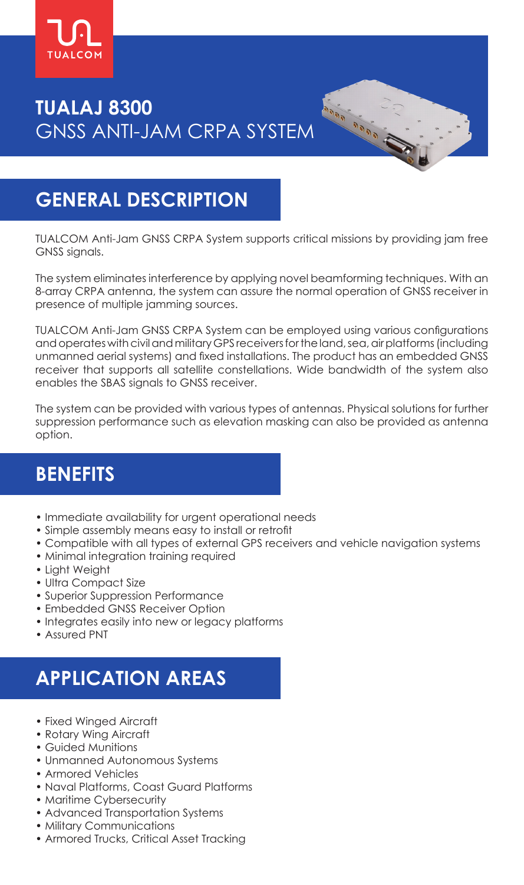

# **TUALAJ 8300** GNSS ANTI-JAM CRPA SYSTEM

## **GENERAL DESCRIPTION**

TUALCOM Anti-Jam GNSS CRPA System supports critical missions by providing jam free GNSS signals.

Analysis Calada

The system eliminates interference by applying novel beamforming techniques. With an 8-array CRPA antenna, the system can assure the normal operation of GNSS receiver in presence of multiple jamming sources.

TUALCOM Anti-Jam GNSS CRPA System can be employed using various configurations and operates with civil and military GPS receivers for the land, sea, air platforms (including unmanned aerial systems) and fixed installations. The product has an embedded GNSS receiver that supports all satellite constellations. Wide bandwidth of the system also enables the SBAS signals to GNSS receiver.

The system can be provided with various types of antennas. Physical solutions for further suppression performance such as elevation masking can also be provided as antenna option.

### **BENEFITS**

- Immediate availability for urgent operational needs
- Simple assembly means easy to install or retrofit
- Compatible with all types of external GPS receivers and vehicle navigation systems
- Minimal integration training required
- Light Weight
- Ultra Compact Size
- Superior Suppression Performance
- Embedded GNSS Receiver Option
- Integrates easily into new or legacy platforms
- Assured PNT

# **APPLICATION AREAS**

- Fixed Winged Aircraft
- Rotary Wing Aircraft
- Guided Munitions
- Unmanned Autonomous Systems
- Armored Vehicles
- Naval Platforms, Coast Guard Platforms
- Maritime Cybersecurity
- Advanced Transportation Systems
- Military Communications
- Armored Trucks, Critical Asset Tracking